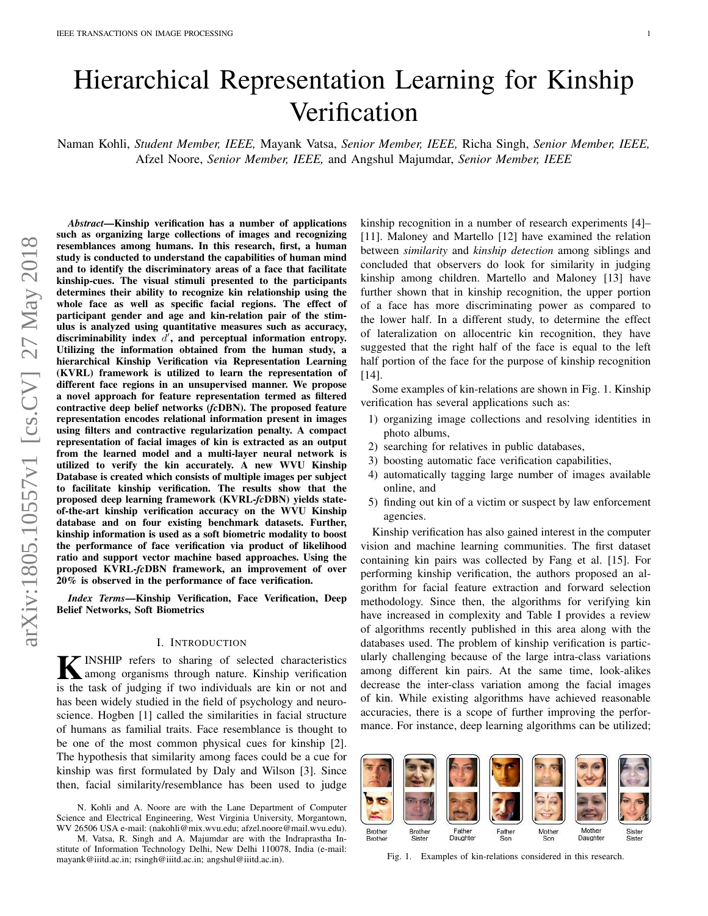# Hierarchical Representation Learning for Kinship Verification

Naman Kohli, *Student Member, IEEE,* Mayank Vatsa, *Senior Member, IEEE,* Richa Singh, *Senior Member, IEEE,* Afzel Noore, *Senior Member, IEEE,* and Angshul Majumdar, *Senior Member, IEEE*

*Abstract*—Kinship verification has a number of applications such as organizing large collections of images and recognizing resemblances among humans. In this research, first, a human study is conducted to understand the capabilities of human mind and to identify the discriminatory areas of a face that facilitate kinship-cues. The visual stimuli presented to the participants determines their ability to recognize kin relationship using the whole face as well as specific facial regions. The effect of participant gender and age and kin-relation pair of the stimulus is analyzed using quantitative measures such as accuracy, discriminability index  $\overrightarrow{d}$ , and perceptual information entropy. Utilizing the information obtained from the human study, a hierarchical Kinship Verification via Representation Learning (KVRL) framework is utilized to learn the representation of different face regions in an unsupervised manner. We propose a novel approach for feature representation termed as filtered contractive deep belief networks (*fc*DBN). The proposed feature representation encodes relational information present in images using filters and contractive regularization penalty. A compact representation of facial images of kin is extracted as an output from the learned model and a multi-layer neural network is utilized to verify the kin accurately. A new WVU Kinship Database is created which consists of multiple images per subject facilitate kinship verification. The results show that the proposed deep learning framework (KVRL-*fc*DBN) yields stateof-the-art kinship verification accuracy on the WVU Kinship database and on four existing benchmark datasets. Further, kinship information is used as a soft biometric modality to boost the performance of face verification via product of likelihood ratio and support vector machine based approaches. Using the proposed KVRL-*fc*DBN framework, an improvement of over 20% is observed in the performance of face verification.

*Index Terms*—Kinship Verification, Face Verification, Deep Belief Networks, Soft Biometrics

# I. INTRODUCTION

K INSHIP refers to sharing of selected characteristics<br>among organisms through nature. Kinship verification among organisms through nature. Kinship verification is the task of judging if two individuals are kin or not and has been widely studied in the field of psychology and neuroscience. Hogben [1] called the similarities in facial structure of humans as familial traits. Face resemblance is thought to be one of the most common physical cues for kinship [2]. The hypothesis that similarity among faces could be a cue for kinship was first formulated by Daly and Wilson [3]. Since then, facial similarity/resemblance has been used to judge kinship recognition in a number of research experiments [4]– [11]. Maloney and Martello [12] have examined the relation between *similarity* and *kinship detection* among siblings and concluded that observers do look for similarity in judging kinship among children. Martello and Maloney [13] have further shown that in kinship recognition, the upper portion of a face has more discriminating power as compared to the lower half. In a different study, to determine the effect of lateralization on allocentric kin recognition, they have suggested that the right half of the face is equal to the left half portion of the face for the purpose of kinship recognition [14].

Some examples of kin-relations are shown in Fig. 1. Kinship verification has several applications such as:

- 1) organizing image collections and resolving identities in photo albums,
- 2) searching for relatives in public databases,
- 3) boosting automatic face verification capabilities,
- 4) automatically tagging large number of images available online, and
- 5) finding out kin of a victim or suspect by law enforcement agencies.

Kinship verification has also gained interest in the computer vision and machine learning communities. The first dataset containing kin pairs was collected by Fang et al. [15]. For performing kinship verification, the authors proposed an algorithm for facial feature extraction and forward selection methodology. Since then, the algorithms for verifying kin have increased in complexity and Table I provides a review of algorithms recently published in this area along with the databases used. The problem of kinship verification is particularly challenging because of the large intra-class variations among different kin pairs. At the same time, look-alikes decrease the inter-class variation among the facial images of kin. While existing algorithms have achieved reasonable accuracies, there is a scope of further improving the performance. For instance, deep learning algorithms can be utilized;



Fig. 1. Examples of kin-relations considered in this research.

N. Kohli and A. Noore are with the Lane Department of Computer Science and Electrical Engineering, West Virginia University, Morgantown, WV 26506 USA e-mail: (nakohli@mix.wvu.edu; afzel.noore@mail.wvu.edu).

M. Vatsa, R. Singh and A. Majumdar are with the Indraprastha Institute of Information Technology Delhi, New Delhi 110078, India (e-mail: mayank@iiitd.ac.in; rsingh@iiitd.ac.in; angshul@iiitd.ac.in).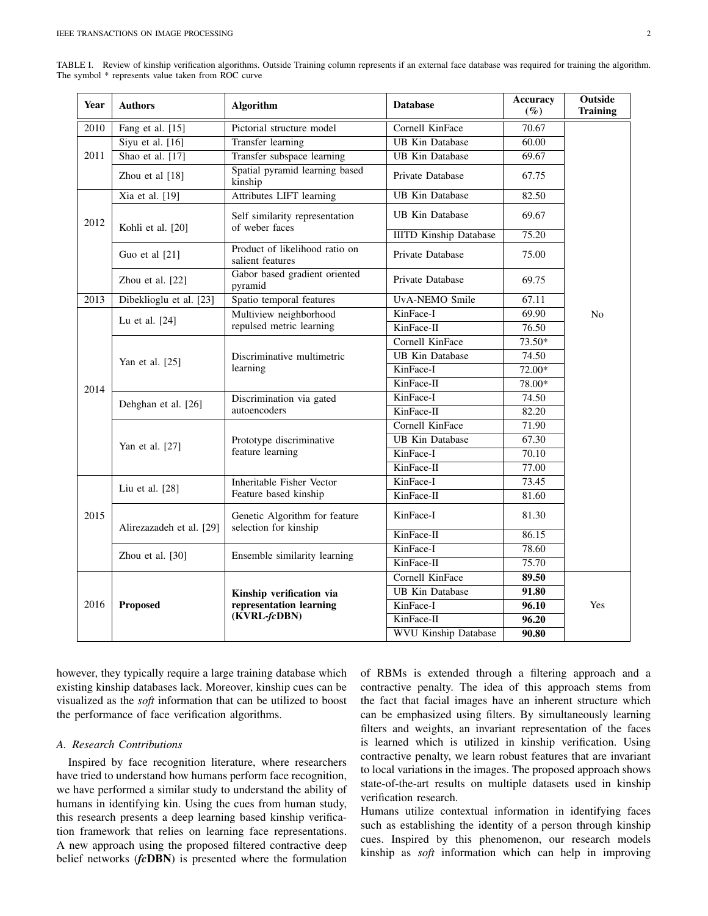| TABLE I. Review of kinship verification algorithms. Outside Training column represents if an external face database was required for training the algorithm. |  |  |  |  |  |  |  |  |
|--------------------------------------------------------------------------------------------------------------------------------------------------------------|--|--|--|--|--|--|--|--|
| The symbol * represents value taken from ROC curve                                                                                                           |  |  |  |  |  |  |  |  |

| Year            | <b>Authors</b>           | <b>Algorithm</b>                                       | <b>Database</b>               | <b>Accuracy</b><br>$(\%)$ | Outside<br><b>Training</b> |  |  |
|-----------------|--------------------------|--------------------------------------------------------|-------------------------------|---------------------------|----------------------------|--|--|
| 2010            | Fang et al. [15]         | Pictorial structure model                              | Cornell KinFace               | 70.67                     |                            |  |  |
|                 | Siyu et al. $[16]$       | Transfer learning                                      | <b>UB Kin Database</b>        | 60.00                     |                            |  |  |
| 2011            | Shao et al. [17]         | Transfer subspace learning                             | <b>UB</b> Kin Database        | 69.67                     |                            |  |  |
| Zhou et al [18] |                          | Spatial pyramid learning based<br>kinship              | Private Database              | 67.75                     |                            |  |  |
|                 | Xia et al. [19]          | <b>Attributes LIFT learning</b>                        | <b>UB Kin Database</b>        | 82.50                     |                            |  |  |
| 2012            | Kohli et al. [20]        | Self similarity representation<br>of weber faces       | <b>UB Kin Database</b>        | 69.67                     |                            |  |  |
|                 |                          |                                                        | <b>IIITD Kinship Database</b> | 75.20                     |                            |  |  |
|                 | Guo et al $[21]$         | Product of likelihood ratio on<br>salient features     | Private Database              | 75.00                     |                            |  |  |
|                 | Zhou et al. [22]         | Gabor based gradient oriented<br>pyramid               | Private Database              | 69.75                     |                            |  |  |
| 2013            | Dibeklioglu et al. [23]  | Spatio temporal features                               | UvA-NEMO Smile                | 67.11                     |                            |  |  |
|                 | Lu et al. [24]           | Multiview neighborhood                                 | KinFace-I                     | 69.90                     | N <sub>o</sub>             |  |  |
|                 |                          | repulsed metric learning                               | KinFace-II                    | 76.50                     |                            |  |  |
|                 |                          | Cornell KinFace                                        |                               | 73.50*                    |                            |  |  |
|                 | Yan et al. [25]          | Discriminative multimetric                             | <b>UB Kin Database</b>        | 74.50                     |                            |  |  |
|                 |                          | learning                                               | KinFace-I                     | 72.00*                    |                            |  |  |
| 2014            |                          |                                                        | KinFace-II                    | 78.00*                    |                            |  |  |
|                 | Dehghan et al. [26]      | Discrimination via gated                               | KinFace-I                     | 74.50                     |                            |  |  |
|                 |                          | autoencoders                                           | KinFace-II                    | 82.20                     |                            |  |  |
|                 |                          |                                                        | Cornell KinFace               | 71.90                     |                            |  |  |
|                 | Yan et al. [27]          | Prototype discriminative                               | <b>UB Kin Database</b>        | 67.30                     |                            |  |  |
|                 |                          | feature learning                                       | KinFace-I                     | 70.10                     |                            |  |  |
|                 |                          |                                                        | KinFace-II                    | 77.00                     |                            |  |  |
|                 | Liu et al. [28]          | Inheritable Fisher Vector                              | KinFace-I                     | 73.45                     |                            |  |  |
|                 |                          | Feature based kinship                                  | KinFace-II                    | 81.60                     |                            |  |  |
| 2015            | Alirezazadeh et al. [29] | Genetic Algorithm for feature<br>selection for kinship | KinFace-I                     | 81.30                     |                            |  |  |
|                 |                          |                                                        | KinFace-II                    | 86.15                     |                            |  |  |
|                 | Zhou et al. [30]         | Ensemble similarity learning                           | KinFace-I                     | 78.60                     |                            |  |  |
|                 |                          |                                                        | KinFace-II                    | 75.70                     |                            |  |  |
|                 |                          |                                                        | Cornell KinFace               | 89.50                     |                            |  |  |
|                 |                          | Kinship verification via                               | <b>UB Kin Database</b>        | 91.80                     |                            |  |  |
| 2016            | <b>Proposed</b>          | representation learning                                | KinFace-I                     | 96.10                     | Yes                        |  |  |
|                 |                          | (KVRL-fcDBN)                                           |                               | 96.20                     |                            |  |  |
|                 |                          |                                                        | <b>WVU Kinship Database</b>   | 90.80                     |                            |  |  |

however, they typically require a large training database which existing kinship databases lack. Moreover, kinship cues can be visualized as the *soft* information that can be utilized to boost the performance of face verification algorithms.

# *A. Research Contributions*

Inspired by face recognition literature, where researchers have tried to understand how humans perform face recognition, we have performed a similar study to understand the ability of humans in identifying kin. Using the cues from human study, this research presents a deep learning based kinship verification framework that relies on learning face representations. A new approach using the proposed filtered contractive deep belief networks (*fc*DBN) is presented where the formulation of RBMs is extended through a filtering approach and a contractive penalty. The idea of this approach stems from the fact that facial images have an inherent structure which can be emphasized using filters. By simultaneously learning filters and weights, an invariant representation of the faces is learned which is utilized in kinship verification. Using contractive penalty, we learn robust features that are invariant to local variations in the images. The proposed approach shows state-of-the-art results on multiple datasets used in kinship verification research.

Humans utilize contextual information in identifying faces such as establishing the identity of a person through kinship cues. Inspired by this phenomenon, our research models kinship as *soft* information which can help in improving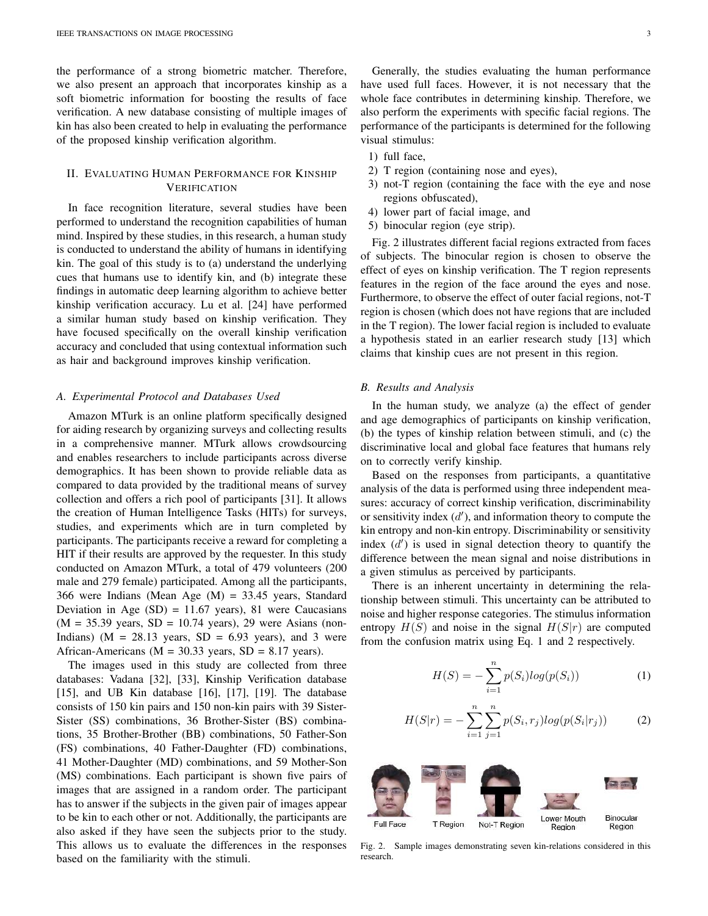the performance of a strong biometric matcher. Therefore, we also present an approach that incorporates kinship as a soft biometric information for boosting the results of face verification. A new database consisting of multiple images of kin has also been created to help in evaluating the performance of the proposed kinship verification algorithm.

# II. EVALUATING HUMAN PERFORMANCE FOR KINSHIP VERIFICATION

In face recognition literature, several studies have been performed to understand the recognition capabilities of human mind. Inspired by these studies, in this research, a human study is conducted to understand the ability of humans in identifying kin. The goal of this study is to (a) understand the underlying cues that humans use to identify kin, and (b) integrate these findings in automatic deep learning algorithm to achieve better kinship verification accuracy. Lu et al. [24] have performed a similar human study based on kinship verification. They have focused specifically on the overall kinship verification accuracy and concluded that using contextual information such as hair and background improves kinship verification.

#### *A. Experimental Protocol and Databases Used*

Amazon MTurk is an online platform specifically designed for aiding research by organizing surveys and collecting results in a comprehensive manner. MTurk allows crowdsourcing and enables researchers to include participants across diverse demographics. It has been shown to provide reliable data as compared to data provided by the traditional means of survey collection and offers a rich pool of participants [31]. It allows the creation of Human Intelligence Tasks (HITs) for surveys, studies, and experiments which are in turn completed by participants. The participants receive a reward for completing a HIT if their results are approved by the requester. In this study conducted on Amazon MTurk, a total of 479 volunteers (200 male and 279 female) participated. Among all the participants, 366 were Indians (Mean Age (M) = 33.45 years, Standard Deviation in Age  $(SD) = 11.67$  years), 81 were Caucasians  $(M = 35.39$  years,  $SD = 10.74$  years), 29 were Asians (non-Indians) ( $M = 28.13$  years,  $SD = 6.93$  years), and 3 were African-Americans ( $M = 30.33$  years,  $SD = 8.17$  years).

The images used in this study are collected from three databases: Vadana [32], [33], Kinship Verification database [15], and UB Kin database [16], [17], [19]. The database consists of 150 kin pairs and 150 non-kin pairs with 39 Sister-Sister (SS) combinations, 36 Brother-Sister (BS) combinations, 35 Brother-Brother (BB) combinations, 50 Father-Son (FS) combinations, 40 Father-Daughter (FD) combinations, 41 Mother-Daughter (MD) combinations, and 59 Mother-Son (MS) combinations. Each participant is shown five pairs of images that are assigned in a random order. The participant has to answer if the subjects in the given pair of images appear to be kin to each other or not. Additionally, the participants are also asked if they have seen the subjects prior to the study. This allows us to evaluate the differences in the responses based on the familiarity with the stimuli.

Generally, the studies evaluating the human performance have used full faces. However, it is not necessary that the whole face contributes in determining kinship. Therefore, we also perform the experiments with specific facial regions. The performance of the participants is determined for the following visual stimulus:

- 1) full face,
- 2) T region (containing nose and eyes),
- 3) not-T region (containing the face with the eye and nose regions obfuscated),
- 4) lower part of facial image, and
- 5) binocular region (eye strip).

Fig. 2 illustrates different facial regions extracted from faces of subjects. The binocular region is chosen to observe the effect of eyes on kinship verification. The T region represents features in the region of the face around the eyes and nose. Furthermore, to observe the effect of outer facial regions, not-T region is chosen (which does not have regions that are included in the T region). The lower facial region is included to evaluate a hypothesis stated in an earlier research study [13] which claims that kinship cues are not present in this region.

# *B. Results and Analysis*

In the human study, we analyze (a) the effect of gender and age demographics of participants on kinship verification, (b) the types of kinship relation between stimuli, and (c) the discriminative local and global face features that humans rely on to correctly verify kinship.

Based on the responses from participants, a quantitative analysis of the data is performed using three independent measures: accuracy of correct kinship verification, discriminability or sensitivity index  $(d')$ , and information theory to compute the kin entropy and non-kin entropy. Discriminability or sensitivity index  $(d')$  is used in signal detection theory to quantify the difference between the mean signal and noise distributions in a given stimulus as perceived by participants.

There is an inherent uncertainty in determining the relationship between stimuli. This uncertainty can be attributed to noise and higher response categories. The stimulus information entropy  $H(S)$  and noise in the signal  $H(S|r)$  are computed from the confusion matrix using Eq. 1 and 2 respectively.

$$
H(S) = -\sum_{i=1}^{n} p(S_i) log(p(S_i))
$$
 (1)

$$
H(S|r) = -\sum_{i=1}^{n} \sum_{j=1}^{n} p(S_i, r_j) log(p(S_i|r_j))
$$
 (2)



Fig. 2. Sample images demonstrating seven kin-relations considered in this research.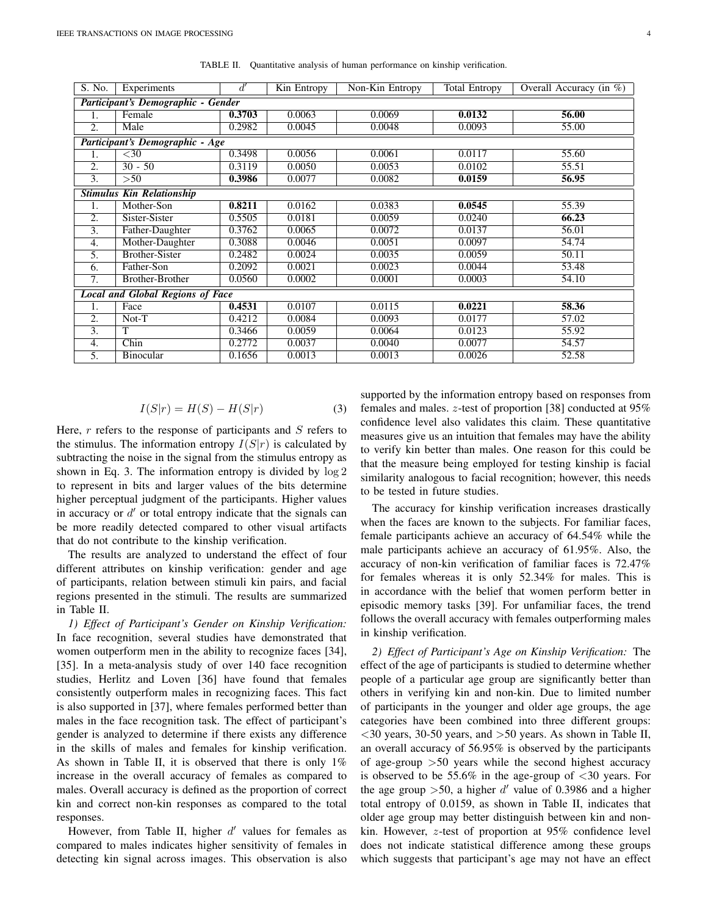S. No. Experiments  $d'$ Kin Entropy | Non-Kin Entropy | Total Entropy | Overall Accuracy (in  $\%$ ) *Participant's Demographic - Gender* 1. Female 0.3703 0.0063 0.0069 0.0132 56.00 2. Male 0.2982 0.0045 0.0048 0.0093 55.00 *Participant's Demographic - Age*  $\boxed{1.}$   $\boxed{\lt{30}$  0.3498 0.0056 0.0061 0.0117 55.60 2.  $30 - 50$   $\bigg| 0.3119 \bigg| 0.0050 \bigg| 0.0053 \bigg| 0.0102 \bigg| 55.51$ 3.  $>50$  0.3986 0.0077 0.0082 0.0159 56.95 *Stimulus Kin Relationship* 1. Mother-Son **0.8211** 0.0162 0.0383 **0.0545** 55.39 2. Sister-Sister 0.5505 0.0181 0.0059 0.0240 66.23 3. Father-Daughter 0.3762 0.0065 0.0072 0.0137 56.01<br>4. Mother-Daughter 0.3088 0.0046 0.0051 0.0097 54.74 4. Mother-Daughter 5. Brother-Sister 0.2482 0.0024 0.0035 0.0059 50.11 6. Father-Son 0.2092 0.0021 0.0023 0.0044 53.48 7. Brother-Brother 0.0560 0.0002 0.0001 0.0003 54.10 *Local and Global Regions of Face* 1. Face 0.4531 0.0107 0.0115 0.0221 58.36 2. Not-T (0.4212 0.0084 0.0093 0.0177 57.02 3.  $|T|$  0.3466 0.0059 0.0064 0.0123 55.92 4. Chin 0.2772 0.0037 0.0040 0.0077 54.57 5. Binocular 1 0.1656 0.0013 0.0013 0.0026 52.58

TABLE II. Quantitative analysis of human performance on kinship verification.

$$
I(S|r) = H(S) - H(S|r)
$$
\n(3)

Here,  $r$  refers to the response of participants and  $S$  refers to the stimulus. The information entropy  $I(S|r)$  is calculated by subtracting the noise in the signal from the stimulus entropy as shown in Eq. 3. The information entropy is divided by log 2 to represent in bits and larger values of the bits determine higher perceptual judgment of the participants. Higher values in accuracy or  $d'$  or total entropy indicate that the signals can be more readily detected compared to other visual artifacts that do not contribute to the kinship verification.

The results are analyzed to understand the effect of four different attributes on kinship verification: gender and age of participants, relation between stimuli kin pairs, and facial regions presented in the stimuli. The results are summarized in Table II.

*1) Effect of Participant's Gender on Kinship Verification:* In face recognition, several studies have demonstrated that women outperform men in the ability to recognize faces [34], [35]. In a meta-analysis study of over 140 face recognition studies, Herlitz and Loven [36] have found that females consistently outperform males in recognizing faces. This fact is also supported in [37], where females performed better than males in the face recognition task. The effect of participant's gender is analyzed to determine if there exists any difference in the skills of males and females for kinship verification. As shown in Table II, it is observed that there is only 1% increase in the overall accuracy of females as compared to males. Overall accuracy is defined as the proportion of correct kin and correct non-kin responses as compared to the total responses.

However, from Table II, higher  $d'$  values for females as compared to males indicates higher sensitivity of females in detecting kin signal across images. This observation is also

supported by the information entropy based on responses from females and males. z-test of proportion [38] conducted at 95% confidence level also validates this claim. These quantitative measures give us an intuition that females may have the ability to verify kin better than males. One reason for this could be that the measure being employed for testing kinship is facial similarity analogous to facial recognition; however, this needs to be tested in future studies.

The accuracy for kinship verification increases drastically when the faces are known to the subjects. For familiar faces, female participants achieve an accuracy of 64.54% while the male participants achieve an accuracy of 61.95%. Also, the accuracy of non-kin verification of familiar faces is 72.47% for females whereas it is only 52.34% for males. This is in accordance with the belief that women perform better in episodic memory tasks [39]. For unfamiliar faces, the trend follows the overall accuracy with females outperforming males in kinship verification.

*2) Effect of Participant's Age on Kinship Verification:* The effect of the age of participants is studied to determine whether people of a particular age group are significantly better than others in verifying kin and non-kin. Due to limited number of participants in the younger and older age groups, the age categories have been combined into three different groups:  $<$ 30 years, 30-50 years, and  $>$ 50 years. As shown in Table II, an overall accuracy of 56.95% is observed by the participants of age-group  $>50$  years while the second highest accuracy is observed to be 55.6% in the age-group of  $\langle 30 \rangle$  years. For the age group  $>50$ , a higher d' value of 0.3986 and a higher total entropy of 0.0159, as shown in Table II, indicates that older age group may better distinguish between kin and nonkin. However, z-test of proportion at 95% confidence level does not indicate statistical difference among these groups which suggests that participant's age may not have an effect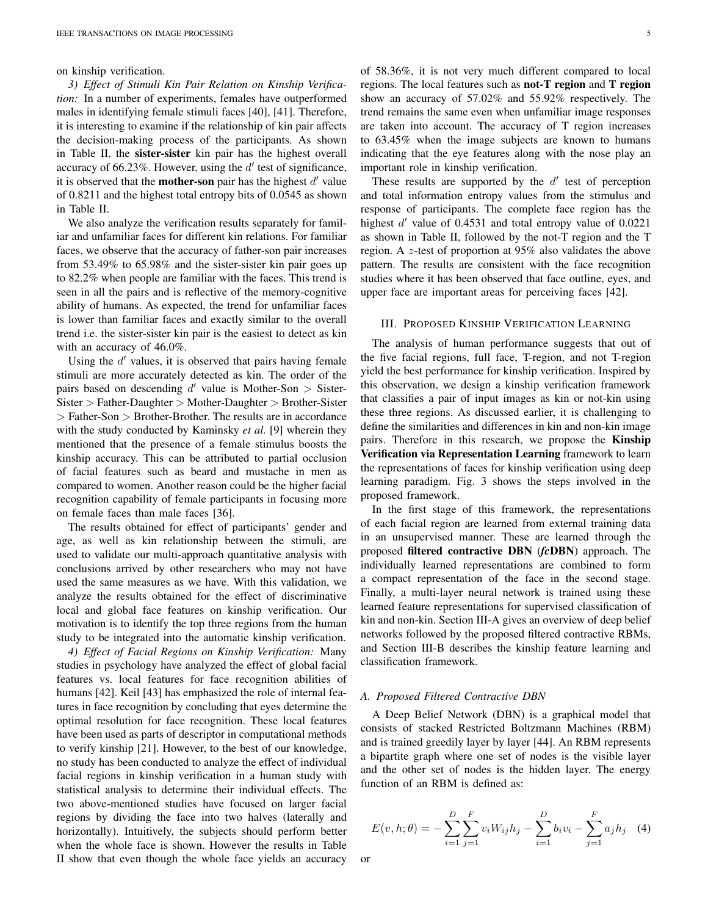on kinship verification.

*3) Effect of Stimuli Kin Pair Relation on Kinship Verification:* In a number of experiments, females have outperformed males in identifying female stimuli faces [40], [41]. Therefore, it is interesting to examine if the relationship of kin pair affects the decision-making process of the participants. As shown in Table II, the sister-sister kin pair has the highest overall accuracy of 66.23%. However, using the  $d'$  test of significance, it is observed that the **mother-son** pair has the highest  $d'$  value of 0.8211 and the highest total entropy bits of 0.0545 as shown in Table II.

We also analyze the verification results separately for familiar and unfamiliar faces for different kin relations. For familiar faces, we observe that the accuracy of father-son pair increases from 53.49% to 65.98% and the sister-sister kin pair goes up to 82.2% when people are familiar with the faces. This trend is seen in all the pairs and is reflective of the memory-cognitive ability of humans. As expected, the trend for unfamiliar faces is lower than familiar faces and exactly similar to the overall trend i.e. the sister-sister kin pair is the easiest to detect as kin with an accuracy of 46.0%.

Using the  $d'$  values, it is observed that pairs having female stimuli are more accurately detected as kin. The order of the pairs based on descending  $d'$  value is Mother-Son > Sister-Sister > Father-Daughter > Mother-Daughter > Brother-Sister > Father-Son > Brother-Brother. The results are in accordance with the study conducted by Kaminsky *et al.* [9] wherein they mentioned that the presence of a female stimulus boosts the kinship accuracy. This can be attributed to partial occlusion of facial features such as beard and mustache in men as compared to women. Another reason could be the higher facial recognition capability of female participants in focusing more on female faces than male faces [36].

The results obtained for effect of participants' gender and age, as well as kin relationship between the stimuli, are used to validate our multi-approach quantitative analysis with conclusions arrived by other researchers who may not have used the same measures as we have. With this validation, we analyze the results obtained for the effect of discriminative local and global face features on kinship verification. Our motivation is to identify the top three regions from the human study to be integrated into the automatic kinship verification.

*4) Effect of Facial Regions on Kinship Verification:* Many studies in psychology have analyzed the effect of global facial features vs. local features for face recognition abilities of humans [42]. Keil [43] has emphasized the role of internal features in face recognition by concluding that eyes determine the optimal resolution for face recognition. These local features have been used as parts of descriptor in computational methods to verify kinship [21]. However, to the best of our knowledge, no study has been conducted to analyze the effect of individual facial regions in kinship verification in a human study with statistical analysis to determine their individual effects. The two above-mentioned studies have focused on larger facial regions by dividing the face into two halves (laterally and horizontally). Intuitively, the subjects should perform better when the whole face is shown. However the results in Table II show that even though the whole face yields an accuracy

of 58.36%, it is not very much different compared to local regions. The local features such as not-T region and T region show an accuracy of 57.02% and 55.92% respectively. The trend remains the same even when unfamiliar image responses are taken into account. The accuracy of T region increases to 63.45% when the image subjects are known to humans indicating that the eye features along with the nose play an important role in kinship verification.

These results are supported by the  $d'$  test of perception and total information entropy values from the stimulus and response of participants. The complete face region has the highest d' value of 0.4531 and total entropy value of 0.0221 as shown in Table II, followed by the not-T region and the T region. A z-test of proportion at 95% also validates the above pattern. The results are consistent with the face recognition studies where it has been observed that face outline, eyes, and upper face are important areas for perceiving faces [42].

# III. PROPOSED KINSHIP VERIFICATION LEARNING

The analysis of human performance suggests that out of the five facial regions, full face, T-region, and not T-region yield the best performance for kinship verification. Inspired by this observation, we design a kinship verification framework that classifies a pair of input images as kin or not-kin using these three regions. As discussed earlier, it is challenging to define the similarities and differences in kin and non-kin image pairs. Therefore in this research, we propose the Kinship Verification via Representation Learning framework to learn the representations of faces for kinship verification using deep learning paradigm. Fig. 3 shows the steps involved in the proposed framework.

In the first stage of this framework, the representations of each facial region are learned from external training data in an unsupervised manner. These are learned through the proposed filtered contractive DBN (*fc*DBN) approach. The individually learned representations are combined to form a compact representation of the face in the second stage. Finally, a multi-layer neural network is trained using these learned feature representations for supervised classification of kin and non-kin. Section III-A gives an overview of deep belief networks followed by the proposed filtered contractive RBMs, and Section III-B describes the kinship feature learning and classification framework.

# *A. Proposed Filtered Contractive DBN*

A Deep Belief Network (DBN) is a graphical model that consists of stacked Restricted Boltzmann Machines (RBM) and is trained greedily layer by layer [44]. An RBM represents a bipartite graph where one set of nodes is the visible layer and the other set of nodes is the hidden layer. The energy function of an RBM is defined as:

$$
E(v, h; \theta) = -\sum_{i=1}^{D} \sum_{j=1}^{F} v_i W_{ij} h_j - \sum_{i=1}^{D} b_i v_i - \sum_{j=1}^{F} a_j h_j \quad (4)
$$

or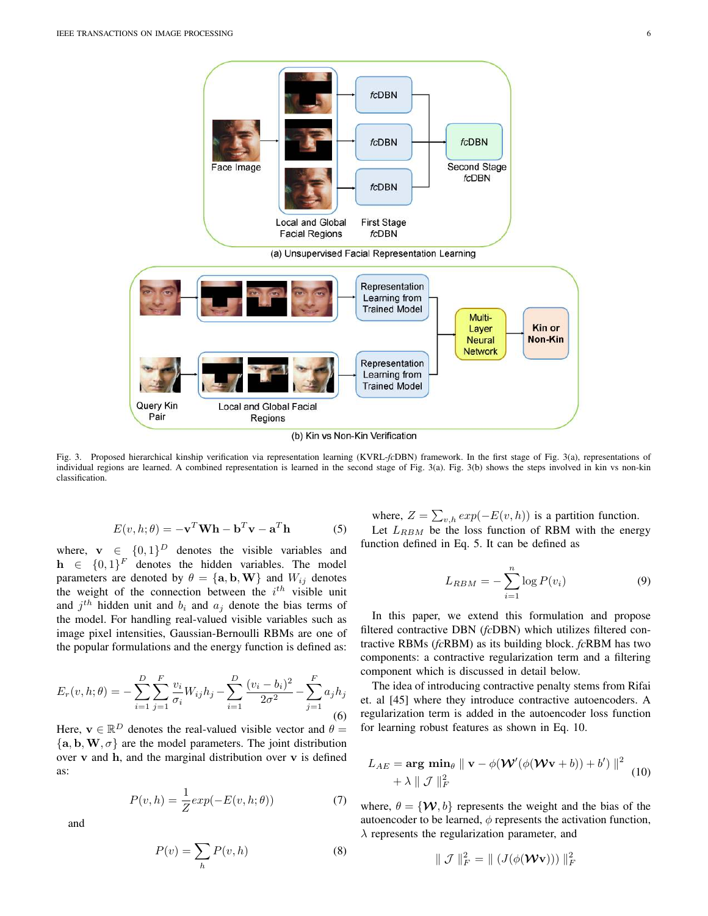

Fig. 3. Proposed hierarchical kinship verification via representation learning (KVRL-*fc*DBN) framework. In the first stage of Fig. 3(a), representations of individual regions are learned. A combined representation is learned in the second stage of Fig. 3(a). Fig. 3(b) shows the steps involved in kin vs non-kin classification.

$$
E(v, h; \theta) = -\mathbf{v}^T \mathbf{W} \mathbf{h} - \mathbf{b}^T \mathbf{v} - \mathbf{a}^T \mathbf{h}
$$
 (5)

where,  $\mathbf{v} \in \{0,1\}^D$  denotes the visible variables and  $h \in \{0,1\}^F$  denotes the hidden variables. The model parameters are denoted by  $\theta = {\bf a}, {\bf b}, {\bf W}$  and  $W_{ij}$  denotes the weight of the connection between the  $i^{th}$  visible unit and  $j<sup>th</sup>$  hidden unit and  $b<sub>i</sub>$  and  $a<sub>j</sub>$  denote the bias terms of the model. For handling real-valued visible variables such as image pixel intensities, Gaussian-Bernoulli RBMs are one of the popular formulations and the energy function is defined as:

$$
E_r(v, h; \theta) = -\sum_{i=1}^{D} \sum_{j=1}^{F} \frac{v_i}{\sigma_i} W_{ij} h_j - \sum_{i=1}^{D} \frac{(v_i - b_i)^2}{2\sigma^2} - \sum_{j=1}^{F} a_j h_j
$$
(6)

Here,  $\mathbf{v} \in \mathbb{R}^D$  denotes the real-valued visible vector and  $\theta =$  ${a, b, W, \sigma}$  are the model parameters. The joint distribution over  $v$  and  $h$ , and the marginal distribution over  $v$  is defined as:

$$
P(v,h) = \frac{1}{Z} exp(-E(v,h;\theta))
$$
\n(7)

and

$$
P(v) = \sum_{h} P(v, h)
$$
 (8)

where,  $Z = \sum_{v,h} exp(-E(v,h))$  is a partition function. Let  $L_{RBM}$  be the loss function of RBM with the energy function defined in Eq. 5. It can be defined as

$$
L_{RBM} = -\sum_{i=1}^{n} \log P(v_i)
$$
 (9)

In this paper, we extend this formulation and propose filtered contractive DBN (*fc*DBN) which utilizes filtered contractive RBMs (*fc*RBM) as its building block. *fc*RBM has two components: a contractive regularization term and a filtering component which is discussed in detail below.

The idea of introducing contractive penalty stems from Rifai et. al [45] where they introduce contractive autoencoders. A regularization term is added in the autoencoder loss function for learning robust features as shown in Eq. 10.

$$
L_{AE} = \arg \min_{\theta} \| \mathbf{v} - \phi(\mathbf{W}'(\phi(\mathbf{W}\mathbf{v} + b)) + b') \|^2
$$
  
+  $\lambda \| \mathcal{J} \|_F^2$  (10)

where,  $\theta = \{W, b\}$  represents the weight and the bias of the autoencoder to be learned,  $\phi$  represents the activation function,  $\lambda$  represents the regularization parameter, and

$$
\parallel \mathcal{J} \parallel_F^2 \ = \ \parallel (J(\phi(\mathcal{W} \mathbf{v}))) \parallel_F^2
$$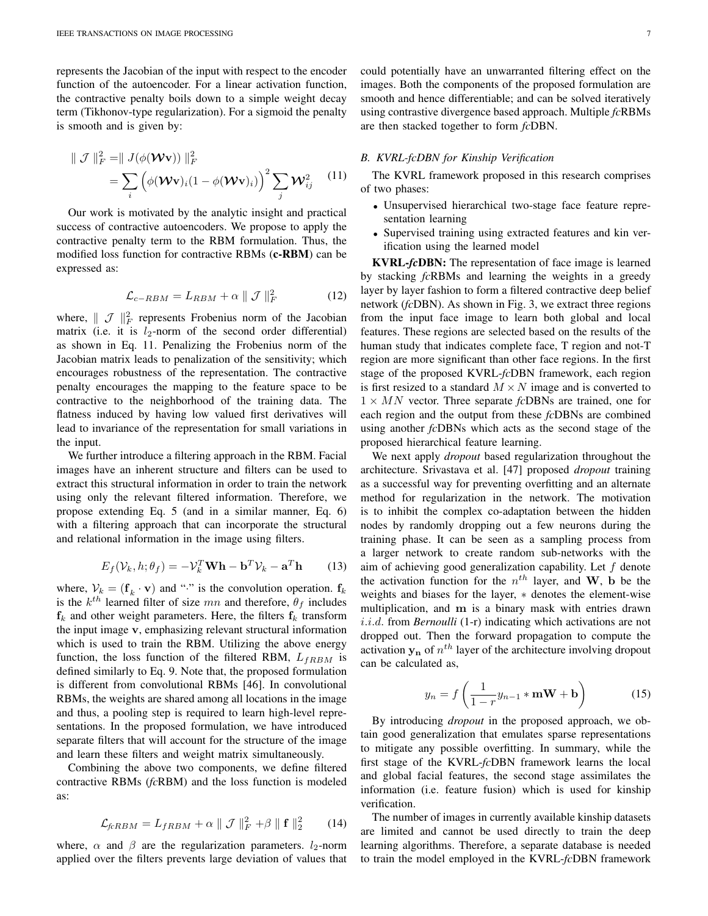represents the Jacobian of the input with respect to the encoder function of the autoencoder. For a linear activation function, the contractive penalty boils down to a simple weight decay term (Tikhonov-type regularization). For a sigmoid the penalty is smooth and is given by:

$$
\|\mathcal{J}\|_{F}^{2} = \|J(\phi(\mathbf{Wv}))\|_{F}^{2}
$$
  
= 
$$
\sum_{i} (\phi(\mathbf{Wv})_{i} (1 - \phi(\mathbf{Wv})_{i}) )^{2} \sum_{j} \mathbf{W}_{ij}^{2} \qquad (11)
$$

Our work is motivated by the analytic insight and practical success of contractive autoencoders. We propose to apply the contractive penalty term to the RBM formulation. Thus, the modified loss function for contractive RBMs (c-RBM) can be expressed as:

$$
\mathcal{L}_{c-RBM} = L_{RBM} + \alpha \parallel \mathcal{J} \parallel_F^2
$$
 (12)

where,  $\parallel \mathcal{J} \parallel_F^2$  represents Frobenius norm of the Jacobian matrix (i.e. it is  $l_2$ -norm of the second order differential) as shown in Eq. 11. Penalizing the Frobenius norm of the Jacobian matrix leads to penalization of the sensitivity; which encourages robustness of the representation. The contractive penalty encourages the mapping to the feature space to be contractive to the neighborhood of the training data. The flatness induced by having low valued first derivatives will lead to invariance of the representation for small variations in the input.

We further introduce a filtering approach in the RBM. Facial images have an inherent structure and filters can be used to extract this structural information in order to train the network using only the relevant filtered information. Therefore, we propose extending Eq. 5 (and in a similar manner, Eq. 6) with a filtering approach that can incorporate the structural and relational information in the image using filters.

$$
E_f(\mathcal{V}_k, h; \theta_f) = -\mathcal{V}_k^T \mathbf{W} \mathbf{h} - \mathbf{b}^T \mathcal{V}_k - \mathbf{a}^T \mathbf{h}
$$
 (13)

where,  $V_k = (\mathbf{f}_k \cdot \mathbf{v})$  and "" is the convolution operation.  $\mathbf{f}_k$ is the  $k^{th}$  learned filter of size mn and therefore,  $\theta_f$  includes  $f_k$  and other weight parameters. Here, the filters  $f_k$  transform the input image v, emphasizing relevant structural information which is used to train the RBM. Utilizing the above energy function, the loss function of the filtered RBM,  $L_{fRBM}$  is defined similarly to Eq. 9. Note that, the proposed formulation is different from convolutional RBMs [46]. In convolutional RBMs, the weights are shared among all locations in the image and thus, a pooling step is required to learn high-level representations. In the proposed formulation, we have introduced separate filters that will account for the structure of the image and learn these filters and weight matrix simultaneously.

Combining the above two components, we define filtered contractive RBMs (*fc*RBM) and the loss function is modeled as:

$$
\mathcal{L}_{fcRBM} = L_{fRBM} + \alpha \parallel \mathcal{J} \parallel_F^2 + \beta \parallel \mathbf{f} \parallel_2^2 \qquad (14)
$$

where,  $\alpha$  and  $\beta$  are the regularization parameters.  $l_2$ -norm applied over the filters prevents large deviation of values that could potentially have an unwarranted filtering effect on the images. Both the components of the proposed formulation are smooth and hence differentiable; and can be solved iteratively using contrastive divergence based approach. Multiple *fc*RBMs are then stacked together to form *fc*DBN.

# *B. KVRL-fcDBN for Kinship Verification*

The KVRL framework proposed in this research comprises of two phases:

- Unsupervised hierarchical two-stage face feature representation learning
- Supervised training using extracted features and kin verification using the learned model

KVRL-*fc*DBN: The representation of face image is learned by stacking *fc*RBMs and learning the weights in a greedy layer by layer fashion to form a filtered contractive deep belief network (*fc*DBN). As shown in Fig. 3, we extract three regions from the input face image to learn both global and local features. These regions are selected based on the results of the human study that indicates complete face, T region and not-T region are more significant than other face regions. In the first stage of the proposed KVRL-*fc*DBN framework, each region is first resized to a standard  $M \times N$  image and is converted to 1 × MN vector. Three separate *fc*DBNs are trained, one for each region and the output from these *fc*DBNs are combined using another *fc*DBNs which acts as the second stage of the proposed hierarchical feature learning.

We next apply *dropout* based regularization throughout the architecture. Srivastava et al. [47] proposed *dropout* training as a successful way for preventing overfitting and an alternate method for regularization in the network. The motivation is to inhibit the complex co-adaptation between the hidden nodes by randomly dropping out a few neurons during the training phase. It can be seen as a sampling process from a larger network to create random sub-networks with the aim of achieving good generalization capability. Let  $f$  denote the activation function for the  $n^{th}$  layer, and W, b be the weights and biases for the layer, ∗ denotes the element-wise multiplication, and m is a binary mask with entries drawn i.i.d. from *Bernoulli* (1-r) indicating which activations are not dropped out. Then the forward propagation to compute the activation  $y_n$  of  $n^{th}$  layer of the architecture involving dropout can be calculated as,

$$
y_n = f\left(\frac{1}{1-r}y_{n-1} * \mathbf{mW} + \mathbf{b}\right)
$$
 (15)

By introducing *dropout* in the proposed approach, we obtain good generalization that emulates sparse representations to mitigate any possible overfitting. In summary, while the first stage of the KVRL-*fc*DBN framework learns the local and global facial features, the second stage assimilates the information (i.e. feature fusion) which is used for kinship verification.

The number of images in currently available kinship datasets are limited and cannot be used directly to train the deep learning algorithms. Therefore, a separate database is needed to train the model employed in the KVRL-*fc*DBN framework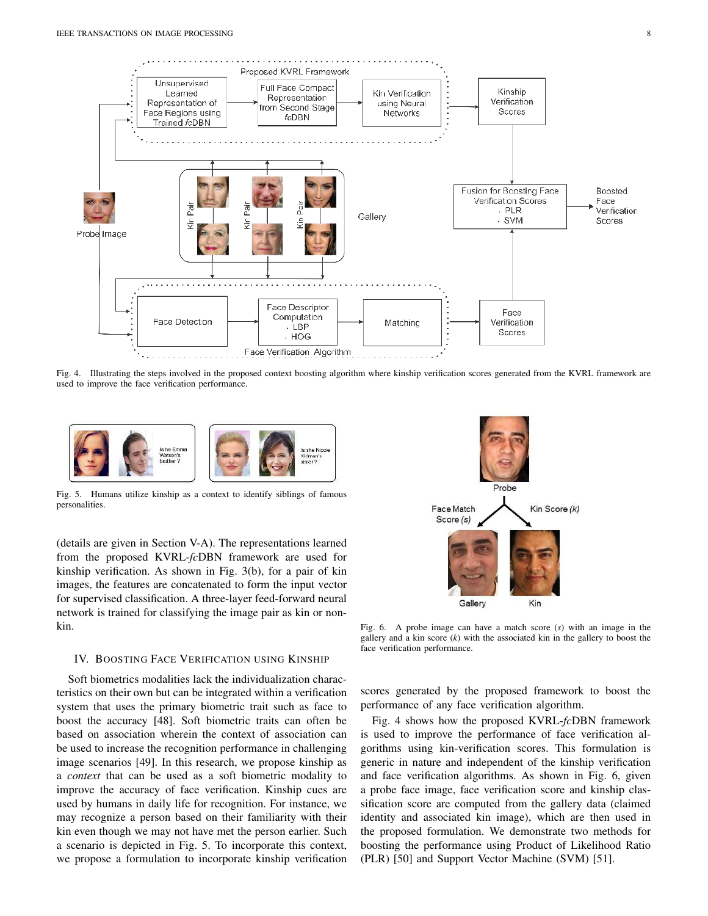

Fig. 4. Illustrating the steps involved in the proposed context boosting algorithm where kinship verification scores generated from the KVRL framework are used to improve the face verification performance.



Fig. 5. Humans utilize kinship as a context to identify siblings of famous personalities.

(details are given in Section V-A). The representations learned from the proposed KVRL-*fc*DBN framework are used for kinship verification. As shown in Fig. 3(b), for a pair of kin images, the features are concatenated to form the input vector for supervised classification. A three-layer feed-forward neural network is trained for classifying the image pair as kin or nonkin.

#### IV. BOOSTING FACE VERIFICATION USING KINSHIP

Soft biometrics modalities lack the individualization characteristics on their own but can be integrated within a verification system that uses the primary biometric trait such as face to boost the accuracy [48]. Soft biometric traits can often be based on association wherein the context of association can be used to increase the recognition performance in challenging image scenarios [49]. In this research, we propose kinship as a *context* that can be used as a soft biometric modality to improve the accuracy of face verification. Kinship cues are used by humans in daily life for recognition. For instance, we may recognize a person based on their familiarity with their kin even though we may not have met the person earlier. Such a scenario is depicted in Fig. 5. To incorporate this context, we propose a formulation to incorporate kinship verification



Fig. 6. A probe image can have a match score (*s*) with an image in the gallery and a kin score  $(k)$  with the associated kin in the gallery to boost the face verification performance.

scores generated by the proposed framework to boost the performance of any face verification algorithm.

Fig. 4 shows how the proposed KVRL-*fc*DBN framework is used to improve the performance of face verification algorithms using kin-verification scores. This formulation is generic in nature and independent of the kinship verification and face verification algorithms. As shown in Fig. 6, given a probe face image, face verification score and kinship classification score are computed from the gallery data (claimed identity and associated kin image), which are then used in the proposed formulation. We demonstrate two methods for boosting the performance using Product of Likelihood Ratio (PLR) [50] and Support Vector Machine (SVM) [51].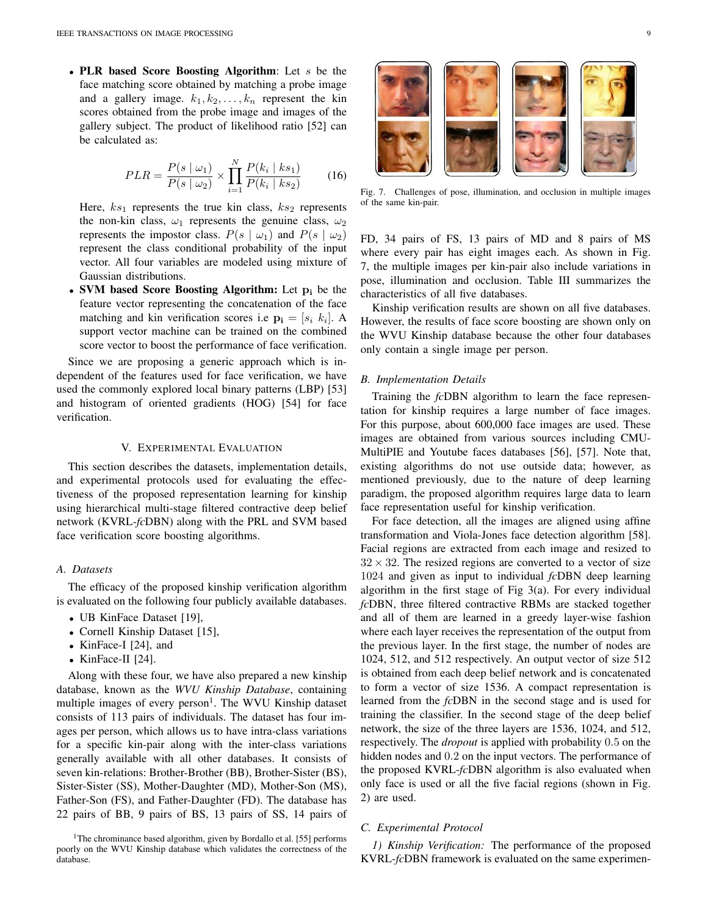• PLR based Score Boosting Algorithm: Let s be the face matching score obtained by matching a probe image and a gallery image.  $k_1, k_2, \ldots, k_n$  represent the kin scores obtained from the probe image and images of the gallery subject. The product of likelihood ratio [52] can be calculated as:

$$
PLR = \frac{P(s \mid \omega_1)}{P(s \mid \omega_2)} \times \prod_{i=1}^{N} \frac{P(k_i \mid ks_1)}{P(k_i \mid ks_2)}\tag{16}
$$

Here,  $ks_1$  represents the true kin class,  $ks_2$  represents the non-kin class,  $\omega_1$  represents the genuine class,  $\omega_2$ represents the impostor class.  $P(s | \omega_1)$  and  $P(s | \omega_2)$ represent the class conditional probability of the input vector. All four variables are modeled using mixture of Gaussian distributions.

• SVM based Score Boosting Algorithm: Let  $p_i$  be the feature vector representing the concatenation of the face matching and kin verification scores i.e  $\mathbf{p_i} = [s_i \; k_i]$ . A support vector machine can be trained on the combined score vector to boost the performance of face verification.

Since we are proposing a generic approach which is independent of the features used for face verification, we have used the commonly explored local binary patterns (LBP) [53] and histogram of oriented gradients (HOG) [54] for face verification.

#### V. EXPERIMENTAL EVALUATION

This section describes the datasets, implementation details, and experimental protocols used for evaluating the effectiveness of the proposed representation learning for kinship using hierarchical multi-stage filtered contractive deep belief network (KVRL-*fc*DBN) along with the PRL and SVM based face verification score boosting algorithms.

# *A. Datasets*

The efficacy of the proposed kinship verification algorithm is evaluated on the following four publicly available databases.

- UB KinFace Dataset [19],
- Cornell Kinship Dataset [15],
- KinFace-I [24], and
- KinFace-II [24].

Along with these four, we have also prepared a new kinship database, known as the *WVU Kinship Database*, containing multiple images of every person<sup>1</sup>. The WVU Kinship dataset consists of 113 pairs of individuals. The dataset has four images per person, which allows us to have intra-class variations for a specific kin-pair along with the inter-class variations generally available with all other databases. It consists of seven kin-relations: Brother-Brother (BB), Brother-Sister (BS), Sister-Sister (SS), Mother-Daughter (MD), Mother-Son (MS), Father-Son (FS), and Father-Daughter (FD). The database has 22 pairs of BB, 9 pairs of BS, 13 pairs of SS, 14 pairs of



Fig. 7. Challenges of pose, illumination, and occlusion in multiple images of the same kin-pair.

FD, 34 pairs of FS, 13 pairs of MD and 8 pairs of MS where every pair has eight images each. As shown in Fig. 7, the multiple images per kin-pair also include variations in pose, illumination and occlusion. Table III summarizes the characteristics of all five databases.

Kinship verification results are shown on all five databases. However, the results of face score boosting are shown only on the WVU Kinship database because the other four databases only contain a single image per person.

# *B. Implementation Details*

Training the *fc*DBN algorithm to learn the face representation for kinship requires a large number of face images. For this purpose, about 600,000 face images are used. These images are obtained from various sources including CMU-MultiPIE and Youtube faces databases [56], [57]. Note that, existing algorithms do not use outside data; however, as mentioned previously, due to the nature of deep learning paradigm, the proposed algorithm requires large data to learn face representation useful for kinship verification.

For face detection, all the images are aligned using affine transformation and Viola-Jones face detection algorithm [58]. Facial regions are extracted from each image and resized to  $32 \times 32$ . The resized regions are converted to a vector of size 1024 and given as input to individual *fc*DBN deep learning algorithm in the first stage of Fig 3(a). For every individual *fc*DBN, three filtered contractive RBMs are stacked together and all of them are learned in a greedy layer-wise fashion where each layer receives the representation of the output from the previous layer. In the first stage, the number of nodes are 1024, 512, and 512 respectively. An output vector of size 512 is obtained from each deep belief network and is concatenated to form a vector of size 1536. A compact representation is learned from the *fc*DBN in the second stage and is used for training the classifier. In the second stage of the deep belief network, the size of the three layers are 1536, 1024, and 512, respectively. The *dropout* is applied with probability 0.5 on the hidden nodes and 0.2 on the input vectors. The performance of the proposed KVRL-*fc*DBN algorithm is also evaluated when only face is used or all the five facial regions (shown in Fig. 2) are used.

# *C. Experimental Protocol*

*1) Kinship Verification:* The performance of the proposed KVRL-*fc*DBN framework is evaluated on the same experimen-

<sup>&</sup>lt;sup>1</sup>The chrominance based algorithm, given by Bordallo et al. [55] performs poorly on the WVU Kinship database which validates the correctness of the database.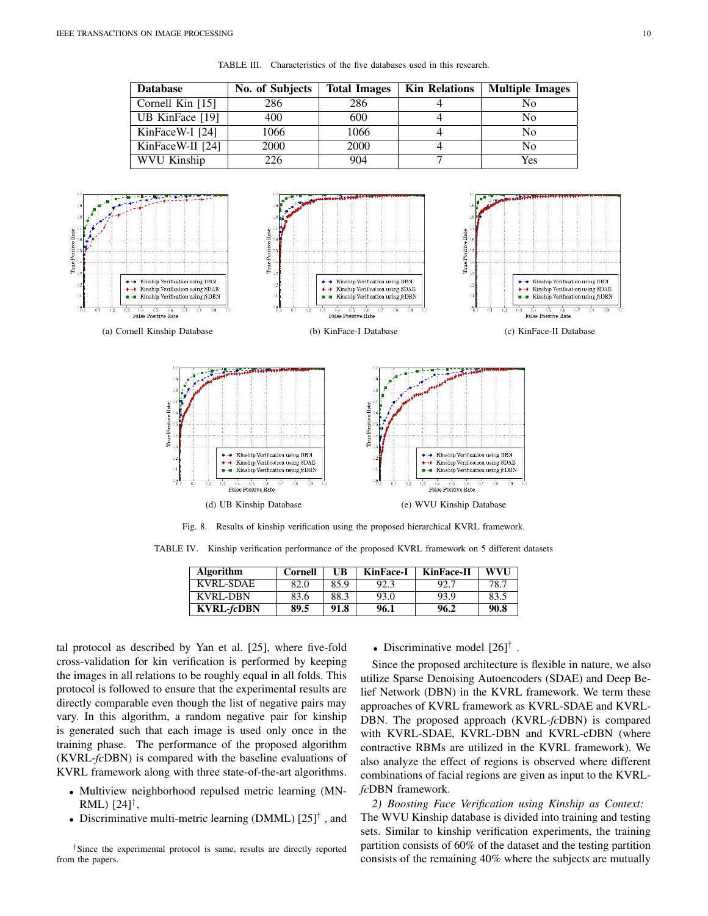True Positive Rate

| <b>Database</b>    | No. of Subjects | <b>Total Images</b> | <b>Kin Relations</b> | <b>Multiple Images</b> |
|--------------------|-----------------|---------------------|----------------------|------------------------|
| Cornell Kin $[15]$ | 286             | 286                 |                      | Nο                     |
| UB KinFace [19]    | 400             | 600                 |                      | No                     |
| KinFaceW-I [24]    | 1066            | 1066                |                      | No                     |
| KinFaceW-II [24]   | 2000            | 2000                |                      | No                     |
| <b>WVU Kinship</b> | 226             | 904                 |                      | Yes                    |

TABLE III. Characteristics of the five databases used in this research.



Fig. 8. Results of kinship verification using the proposed hierarchical KVRL framework.

TABLE IV. Kinship verification performance of the proposed KVRL framework on 5 different datasets

| <b>Algorithm</b>  | Cornell | UB   | <b>KinFace-I</b> | <b>KinFace-II</b> | <b>WVI</b> I |
|-------------------|---------|------|------------------|-------------------|--------------|
| KVRL-SDAE         | 82.0    | 85.9 | 92.3             | -92.7             | 78.7         |
| <b>KVRL-DBN</b>   | 83.6    | 88.3 | 93.0             | 93.9              | 83.5         |
| <b>KVRL-fcDBN</b> | 89.5    | 91.8 | 96.1             | 96.2              | 90.8         |

tal protocol as described by Yan et al. [25], where five-fold cross-validation for kin verification is performed by keeping the images in all relations to be roughly equal in all folds. This protocol is followed to ensure that the experimental results are directly comparable even though the list of negative pairs may vary. In this algorithm, a random negative pair for kinship is generated such that each image is used only once in the training phase. The performance of the proposed algorithm (KVRL-*fc*DBN) is compared with the baseline evaluations of KVRL framework along with three state-of-the-art algorithms.

- Multiview neighborhood repulsed metric learning (MN-RML) [24]† ,
- Discriminative multi-metric learning (DMML)  $[25]$ <sup>†</sup>, and

• Discriminative model  $[26]^\dagger$ .

Since the proposed architecture is flexible in nature, we also utilize Sparse Denoising Autoencoders (SDAE) and Deep Belief Network (DBN) in the KVRL framework. We term these approaches of KVRL framework as KVRL-SDAE and KVRL-DBN. The proposed approach (KVRL-*fc*DBN) is compared with KVRL-SDAE, KVRL-DBN and KVRL-cDBN (where contractive RBMs are utilized in the KVRL framework). We also analyze the effect of regions is observed where different combinations of facial regions are given as input to the KVRL*fc*DBN framework.

*2) Boosting Face Verification using Kinship as Context:* The WVU Kinship database is divided into training and testing sets. Similar to kinship verification experiments, the training partition consists of 60% of the dataset and the testing partition consists of the remaining 40% where the subjects are mutually

<sup>†</sup>Since the experimental protocol is same, results are directly reported from the papers.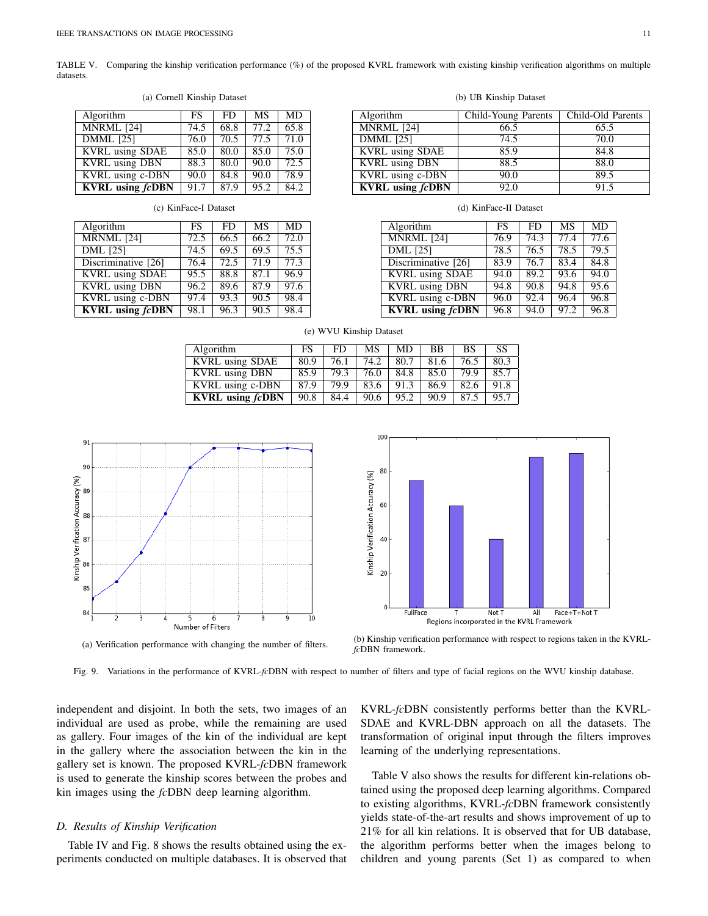TABLE V. Comparing the kinship verification performance (%) of the proposed KVRL framework with existing kinship verification algorithms on multiple datasets.

| Algorithm               | FS   | FD   | <b>MS</b> | <b>MD</b> |
|-------------------------|------|------|-----------|-----------|
| <b>MNRML</b> [24]       | 74.5 | 68.8 | 77.2      | 65.8      |
| <b>DMML</b> [25]        | 76.0 | 70.5 | 77.5      | 71.0      |
| <b>KVRL</b> using SDAE  | 85.0 | 80.0 | 85.0      | 75.0      |
| <b>KVRL</b> using DBN   | 88.3 | 80.0 | 90.0      | 72.5      |
| <b>KVRL</b> using c-DBN | 90.0 | 84.8 | 90.0      | 78.9      |
| <b>KVRL</b> using fcDBN | 91.7 | 87.9 | 95.2      | 84.2      |

(a) Cornell Kinship Dataset

| Algorithm               | FS   | FD.  | MS   | <b>MD</b> |
|-------------------------|------|------|------|-----------|
| MRNML [24]              | 72.5 | 66.5 | 66.2 | 72.0      |
| <b>DML</b> [25]         | 74.5 | 69.5 | 69.5 | 75.5      |
| Discriminative [26]     | 76.4 | 72.5 | 71.9 | 77.3      |
| <b>KVRL</b> using SDAE  | 95.5 | 88.8 | 87.1 | 96.9      |
| <b>KVRL</b> using DBN   | 96.2 | 89.6 | 87.9 | 97.6      |
| KVRL using c-DBN        | 97.4 | 93.3 | 90.5 | 98.4      |
| <b>KVRL</b> using fcDBN | 98.1 | 96.3 | 90.5 | 98.4      |

| ١N  | 88.3                  | 80.0 | 90.0 |      | <b>KVRL</b> using DBN          |  | 88.5                   |    |  | 88.0 |  |
|-----|-----------------------|------|------|------|--------------------------------|--|------------------------|----|--|------|--|
| эBN | 90.0                  | 84.8 | 90.0 | 78.9 | KVRL using c-DBN               |  | 90.0                   |    |  | 89.5 |  |
| DBN | 91.                   | 87.9 | 052  | 84.2 | <b>KVRL</b> using <i>fcDBN</i> |  | 92.0                   |    |  |      |  |
|     | (c) KinFace-I Dataset |      |      |      |                                |  | (d) KinFace-II Dataset |    |  |      |  |
|     | FS                    |      | MS   | MD   | Algorithm                      |  | FS                     | FD |  | MD   |  |

| Algorithm               | <b>FS</b> | FD   | <b>MS</b> | <b>MD</b> |
|-------------------------|-----------|------|-----------|-----------|
| $MNRML$ <sup>[24]</sup> | 76.9      | 74.3 | 77.4      | 77.6      |
| <b>DML</b> [25]         | 78.5      | 76.5 | 78.5      | 79.5      |
| Discriminative [26]     | 83.9      | 76.7 | 83.4      | 84.8      |
| <b>KVRL</b> using SDAE  | 94.0      | 89.2 | 93.6      | 94.0      |
| <b>KVRL</b> using DBN   | 94.8      | 90.8 | 94.8      | 95.6      |
| KVRL using c-DBN        | 96.0      | 92.4 | 96.4      | 96.8      |
| <b>KVRL</b> using fcDBN | 96.8      | 94.0 | 97.2      | 96.8      |

|    |                               | <b>KVRL</b> using fcDBN | 90.8             | 84.4 | 90.6                                    | 95.2     | 90.9 | 87.5 | 95.7  |
|----|-------------------------------|-------------------------|------------------|------|-----------------------------------------|----------|------|------|-------|
|    |                               |                         |                  |      |                                         |          |      |      |       |
| 91 |                               |                         |                  |      | 100                                     |          |      |      |       |
| 90 |                               |                         |                  |      | 80                                      |          |      |      |       |
| 89 |                               |                         |                  |      |                                         |          |      |      |       |
| 88 |                               |                         |                  |      | 60                                      |          |      |      |       |
| 87 |                               |                         |                  |      | Kinship Verification Accuracy (%)<br>40 |          |      |      |       |
| 86 |                               |                         |                  |      |                                         |          |      |      |       |
| 85 |                               |                         |                  |      | 20                                      |          |      |      |       |
| 84 | $\overline{ }$<br>з<br>5<br>4 | q<br>8<br>6.<br>7       | 10 <sup>10</sup> |      | 0                                       | FullFace |      | Т    | Not T |

# (e) WVU Kinship Dataset Algorithm FS FD MS MD BB BS SS<br>
KVRL using SDAE 80.9 76.1 74.2 80.7 81.6 76.5 80.3

KVRL using DBN 85.9 79.3 76.0 84.8 85.0 79.9 85.7 KVRL using c-DBN 87.9 79.9 83.6 91.3 86.9 82.6 91.8

FRIE SPACE 80.9 76.1 74.2 80.7<br>
EVRL using DBN 85.9 79.3 76.0 84.8

|                                   | 100 |          |   |                                            |     |              |  |
|-----------------------------------|-----|----------|---|--------------------------------------------|-----|--------------|--|
|                                   | 80  |          |   |                                            |     |              |  |
| Kinship Verification Accuracy (%) | 60  |          |   |                                            |     |              |  |
|                                   | 40  |          |   |                                            |     |              |  |
|                                   | 20  |          |   |                                            |     |              |  |
|                                   | 0   | FullFace | T | Not T                                      | All | Face+T+Not T |  |
|                                   |     |          |   | Regions incorporated in the KVRL Framework |     |              |  |

orated in the KVRL Framework

Number of Filters

6

8

10

4

(a) Verification performance with changing the number of filters. (b) Kinship verification performance with respect to regions taken in the KVRL*fc*DBN framework.

Fig. 9. Variations in the performance of KVRL-*fc*DBN with respect to number of filters and type of facial regions on the WVU kinship database.

independent and disjoint. In both the sets, two images of an individual are used as probe, while the remaining are used as gallery. Four images of the kin of the individual are kept in the gallery where the association between the kin in the gallery set is known. The proposed KVRL-*fc*DBN framework is used to generate the kinship scores between the probes and kin images using the *fc*DBN deep learning algorithm.

#### *D. Results of Kinship Verification*

 $\mathbf{Q}$ 

 $\overline{9}$ 

 $8<sup>1</sup>$ 

Kinship Verification Accuracy (%)

Table IV and Fig. 8 shows the results obtained using the experiments conducted on multiple databases. It is observed that KVRL-*fc*DBN consistently performs better than the KVRL-SDAE and KVRL-DBN approach on all the datasets. The transformation of original input through the filters improves learning of the underlying representations.

Table V also shows the results for different kin-relations obtained using the proposed deep learning algorithms. Compared to existing algorithms, KVRL-*fc*DBN framework consistently yields state-of-the-art results and shows improvement of up to 21% for all kin relations. It is observed that for UB database, the algorithm performs better when the images belong to children and young parents (Set 1) as compared to when

(b) UB Kinship Dataset Algorithm | Child-Young Parents | Child-Old Parents

MNRML [24] 66.5 65.5 DMML [25] 74.5 70.0<br>
KVRL using SDAE 85.9 84.8 KVRL using SDAE 85.9 84.8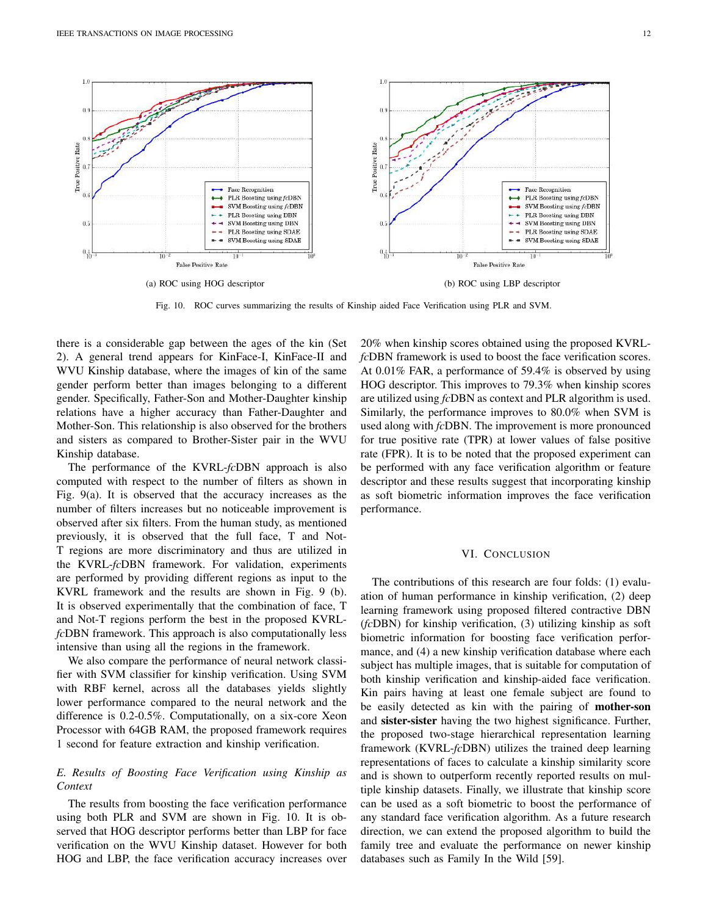

Fig. 10. ROC curves summarizing the results of Kinship aided Face Verification using PLR and SVM.

there is a considerable gap between the ages of the kin (Set 2). A general trend appears for KinFace-I, KinFace-II and WVU Kinship database, where the images of kin of the same gender perform better than images belonging to a different gender. Specifically, Father-Son and Mother-Daughter kinship relations have a higher accuracy than Father-Daughter and Mother-Son. This relationship is also observed for the brothers and sisters as compared to Brother-Sister pair in the WVU Kinship database.

The performance of the KVRL-*fc*DBN approach is also computed with respect to the number of filters as shown in Fig. 9(a). It is observed that the accuracy increases as the number of filters increases but no noticeable improvement is observed after six filters. From the human study, as mentioned previously, it is observed that the full face, T and Not-T regions are more discriminatory and thus are utilized in the KVRL-*fc*DBN framework. For validation, experiments are performed by providing different regions as input to the KVRL framework and the results are shown in Fig. 9 (b). It is observed experimentally that the combination of face, T and Not-T regions perform the best in the proposed KVRL*fc*DBN framework. This approach is also computationally less intensive than using all the regions in the framework.

We also compare the performance of neural network classifier with SVM classifier for kinship verification. Using SVM with RBF kernel, across all the databases yields slightly lower performance compared to the neural network and the difference is 0.2-0.5%. Computationally, on a six-core Xeon Processor with 64GB RAM, the proposed framework requires 1 second for feature extraction and kinship verification.

# *E. Results of Boosting Face Verification using Kinship as Context*

The results from boosting the face verification performance using both PLR and SVM are shown in Fig. 10. It is observed that HOG descriptor performs better than LBP for face verification on the WVU Kinship dataset. However for both HOG and LBP, the face verification accuracy increases over

20% when kinship scores obtained using the proposed KVRL*fc*DBN framework is used to boost the face verification scores. At 0.01% FAR, a performance of 59.4% is observed by using HOG descriptor. This improves to 79.3% when kinship scores are utilized using *fc*DBN as context and PLR algorithm is used. Similarly, the performance improves to 80.0% when SVM is used along with *fc*DBN. The improvement is more pronounced for true positive rate (TPR) at lower values of false positive rate (FPR). It is to be noted that the proposed experiment can be performed with any face verification algorithm or feature descriptor and these results suggest that incorporating kinship as soft biometric information improves the face verification performance.

### VI. CONCLUSION

The contributions of this research are four folds: (1) evaluation of human performance in kinship verification, (2) deep learning framework using proposed filtered contractive DBN (*fc*DBN) for kinship verification, (3) utilizing kinship as soft biometric information for boosting face verification performance, and (4) a new kinship verification database where each subject has multiple images, that is suitable for computation of both kinship verification and kinship-aided face verification. Kin pairs having at least one female subject are found to be easily detected as kin with the pairing of mother-son and sister-sister having the two highest significance. Further, the proposed two-stage hierarchical representation learning framework (KVRL-*fc*DBN) utilizes the trained deep learning representations of faces to calculate a kinship similarity score and is shown to outperform recently reported results on multiple kinship datasets. Finally, we illustrate that kinship score can be used as a soft biometric to boost the performance of any standard face verification algorithm. As a future research direction, we can extend the proposed algorithm to build the family tree and evaluate the performance on newer kinship databases such as Family In the Wild [59].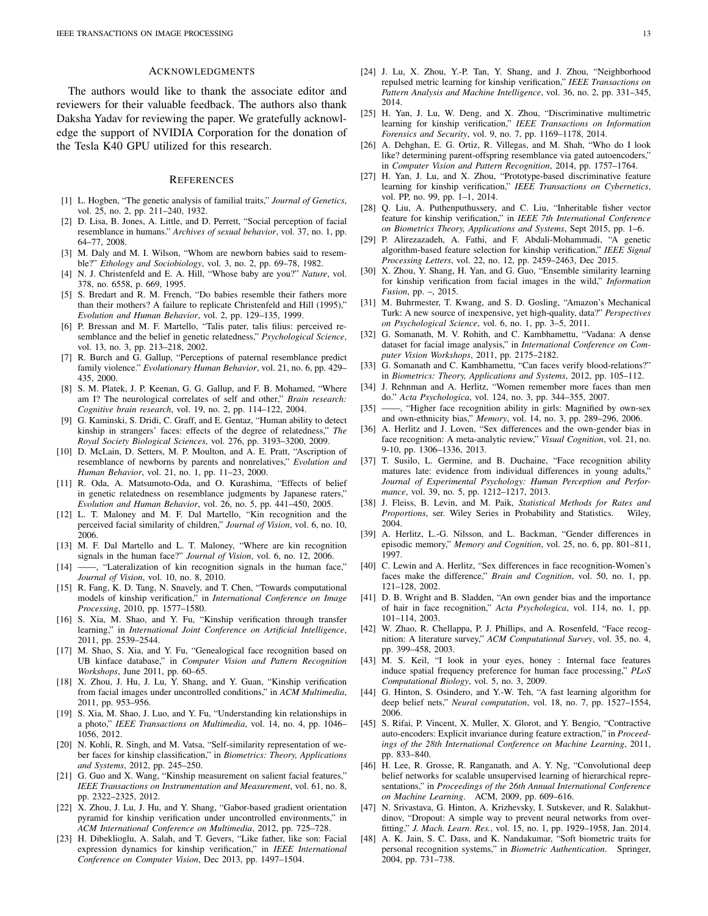# ACKNOWLEDGMENTS

The authors would like to thank the associate editor and reviewers for their valuable feedback. The authors also thank Daksha Yadav for reviewing the paper. We gratefully acknowledge the support of NVIDIA Corporation for the donation of the Tesla K40 GPU utilized for this research.

#### **REFERENCES**

- [1] L. Hogben, "The genetic analysis of familial traits," *Journal of Genetics*, vol. 25, no. 2, pp. 211–240, 1932.
- [2] D. Lisa, B. Jones, A. Little, and D. Perrett, "Social perception of facial resemblance in humans." *Archives of sexual behavior*, vol. 37, no. 1, pp. 64–77, 2008.
- [3] M. Daly and M. I. Wilson, "Whom are newborn babies said to resemble?" *Ethology and Sociobiology*, vol. 3, no. 2, pp. 69–78, 1982.
- [4] N. J. Christenfeld and E. A. Hill, "Whose baby are you?" *Nature*, vol. 378, no. 6558, p. 669, 1995.
- [5] S. Bredart and R. M. French, "Do babies resemble their fathers more than their mothers? A failure to replicate Christenfeld and Hill (1995)," *Evolution and Human Behavior*, vol. 2, pp. 129–135, 1999.
- [6] P. Bressan and M. F. Martello, "Talis pater, talis filius: perceived resemblance and the belief in genetic relatedness," *Psychological Science*, vol. 13, no. 3, pp. 213–218, 2002.
- [7] R. Burch and G. Gallup, "Perceptions of paternal resemblance predict family violence." *Evolutionary Human Behavior*, vol. 21, no. 6, pp. 429– 435, 2000.
- [8] S. M. Platek, J. P. Keenan, G. G. Gallup, and F. B. Mohamed, "Where am I? The neurological correlates of self and other," *Brain research: Cognitive brain research*, vol. 19, no. 2, pp. 114–122, 2004.
- [9] G. Kaminski, S. Dridi, C. Graff, and E. Gentaz, "Human ability to detect kinship in strangers' faces: effects of the degree of relatedness," *The Royal Society Biological Sciences*, vol. 276, pp. 3193–3200, 2009.
- [10] D. McLain, D. Setters, M. P. Moulton, and A. E. Pratt, "Ascription of resemblance of newborns by parents and nonrelatives," *Evolution and Human Behavior*, vol. 21, no. 1, pp. 11–23, 2000.
- [11] R. Oda, A. Matsumoto-Oda, and O. Kurashima, "Effects of belief in genetic relatedness on resemblance judgments by Japanese raters," *Evolution and Human Behavior*, vol. 26, no. 5, pp. 441–450, 2005.
- [12] L. T. Maloney and M. F. Dal Martello, "Kin recognition and the perceived facial similarity of children," *Journal of Vision*, vol. 6, no. 10, 2006.
- [13] M. F. Dal Martello and L. T. Maloney, "Where are kin recognition signals in the human face?" *Journal of Vision*, vol. 6, no. 12, 2006.
- $-$ , "Lateralization of kin recognition signals in the human face," *Journal of Vision*, vol. 10, no. 8, 2010.
- [15] R. Fang, K. D. Tang, N. Snavely, and T. Chen, "Towards computational models of kinship verification," in *International Conference on Image Processing*, 2010, pp. 1577–1580.
- [16] S. Xia, M. Shao, and Y. Fu, "Kinship verification through transfer learning," in *International Joint Conference on Artificial Intelligence*, 2011, pp. 2539–2544.
- [17] M. Shao, S. Xia, and Y. Fu, "Genealogical face recognition based on UB kinface database," in *Computer Vision and Pattern Recognition Workshops*, June 2011, pp. 60–65.
- [18] X. Zhou, J. Hu, J. Lu, Y. Shang, and Y. Guan, "Kinship verification from facial images under uncontrolled conditions," in *ACM Multimedia*, 2011, pp. 953–956.
- [19] S. Xia, M. Shao, J. Luo, and Y. Fu, "Understanding kin relationships in a photo," *IEEE Transactions on Multimedia*, vol. 14, no. 4, pp. 1046– 1056, 2012.
- [20] N. Kohli, R. Singh, and M. Vatsa, "Self-similarity representation of weber faces for kinship classification," in *Biometrics: Theory, Applications and Systems*, 2012, pp. 245–250.
- [21] G. Guo and X. Wang, "Kinship measurement on salient facial features," *IEEE Transactions on Instrumentation and Measurement*, vol. 61, no. 8, pp. 2322–2325, 2012.
- [22] X. Zhou, J. Lu, J. Hu, and Y. Shang, "Gabor-based gradient orientation pyramid for kinship verification under uncontrolled environments," in *ACM International Conference on Multimedia*, 2012, pp. 725–728.
- [23] H. Dibeklioglu, A. Salah, and T. Gevers, "Like father, like son: Facial expression dynamics for kinship verification," in *IEEE International Conference on Computer Vision*, Dec 2013, pp. 1497–1504.
- [24] J. Lu, X. Zhou, Y.-P. Tan, Y. Shang, and J. Zhou, "Neighborhood repulsed metric learning for kinship verification," *IEEE Transactions on Pattern Analysis and Machine Intelligence*, vol. 36, no. 2, pp. 331–345, 2014.
- [25] H. Yan, J. Lu, W. Deng, and X. Zhou, "Discriminative multimetric learning for kinship verification," *IEEE Transactions on Information Forensics and Security*, vol. 9, no. 7, pp. 1169–1178, 2014.
- [26] A. Dehghan, E. G. Ortiz, R. Villegas, and M. Shah, "Who do I look like? determining parent-offspring resemblance via gated autoencoders," in *Computer Vision and Pattern Recognition*, 2014, pp. 1757–1764.
- [27] H. Yan, J. Lu, and X. Zhou, "Prototype-based discriminative feature learning for kinship verification," *IEEE Transactions on Cybernetics*, vol. PP, no. 99, pp. 1–1, 2014.
- [28] Q. Liu, A. Puthenputhussery, and C. Liu, "Inheritable fisher vector feature for kinship verification," in *IEEE 7th International Conference on Biometrics Theory, Applications and Systems*, Sept 2015, pp. 1–6.
- [29] P. Alirezazadeh, A. Fathi, and F. Abdali-Mohammadi, "A genetic algorithm-based feature selection for kinship verification," *IEEE Signal Processing Letters*, vol. 22, no. 12, pp. 2459–2463, Dec 2015.
- [30] X. Zhou, Y. Shang, H. Yan, and G. Guo, "Ensemble similarity learning for kinship verification from facial images in the wild," *Information Fusion*, pp. –, 2015.
- [31] M. Buhrmester, T. Kwang, and S. D. Gosling, "Amazon's Mechanical Turk: A new source of inexpensive, yet high-quality, data?" *Perspectives on Psychological Science*, vol. 6, no. 1, pp. 3–5, 2011.
- [32] G. Somanath, M. V. Rohith, and C. Kambhamettu, "Vadana: A dense dataset for facial image analysis," in *International Conference on Computer Vision Workshops*, 2011, pp. 2175–2182.
- [33] G. Somanath and C. Kambhamettu, "Can faces verify blood-relations?" in *Biometrics: Theory, Applications and Systems*, 2012, pp. 105–112.
- [34] J. Rehnman and A. Herlitz, "Women remember more faces than men do." *Acta Psychologica*, vol. 124, no. 3, pp. 344–355, 2007.
- [35] -, "Higher face recognition ability in girls: Magnified by own-sex and own-ethnicity bias," *Memory*, vol. 14, no. 3, pp. 289–296, 2006.
- [36] A. Herlitz and J. Loven, "Sex differences and the own-gender bias in face recognition: A meta-analytic review," *Visual Cognition*, vol. 21, no. 9-10, pp. 1306–1336, 2013.
- [37] T. Susilo, L. Germine, and B. Duchaine, "Face recognition ability matures late: evidence from individual differences in young adults, *Journal of Experimental Psychology: Human Perception and Performance*, vol. 39, no. 5, pp. 1212–1217, 2013.
- [38] J. Fleiss, B. Levin, and M. Paik, *Statistical Methods for Rates and Proportions*, ser. Wiley Series in Probability and Statistics. Wiley, 2004.
- [39] A. Herlitz, L.-G. Nilsson, and L. Backman, "Gender differences in episodic memory," *Memory and Cognition*, vol. 25, no. 6, pp. 801–811, 1997.
- [40] C. Lewin and A. Herlitz, "Sex differences in face recognition-Women's faces make the difference," *Brain and Cognition*, vol. 50, no. 1, pp. 121–128, 2002.
- [41] D. B. Wright and B. Sladden, "An own gender bias and the importance of hair in face recognition," *Acta Psychologica*, vol. 114, no. 1, pp. 101–114, 2003.
- [42] W. Zhao, R. Chellappa, P. J. Phillips, and A. Rosenfeld, "Face recognition: A literature survey," *ACM Computational Survey*, vol. 35, no. 4, pp. 399–458, 2003.
- [43] M. S. Keil, "I look in your eyes, honey : Internal face features induce spatial frequency preference for human face processing," *PLoS Computational Biology*, vol. 5, no. 3, 2009.
- [44] G. Hinton, S. Osindero, and Y.-W. Teh, "A fast learning algorithm for deep belief nets," *Neural computation*, vol. 18, no. 7, pp. 1527–1554, 2006.
- [45] S. Rifai, P. Vincent, X. Muller, X. Glorot, and Y. Bengio, "Contractive auto-encoders: Explicit invariance during feature extraction," in *Proceedings of the 28th International Conference on Machine Learning*, 2011, pp. 833–840.
- [46] H. Lee, R. Grosse, R. Ranganath, and A. Y. Ng, "Convolutional deep belief networks for scalable unsupervised learning of hierarchical representations," in *Proceedings of the 26th Annual International Conference on Machine Learning*. ACM, 2009, pp. 609–616.
- [47] N. Srivastava, G. Hinton, A. Krizhevsky, I. Sutskever, and R. Salakhutdinov, "Dropout: A simple way to prevent neural networks from overfitting," *J. Mach. Learn. Res.*, vol. 15, no. 1, pp. 1929–1958, Jan. 2014.
- [48] A. K. Jain, S. C. Dass, and K. Nandakumar, "Soft biometric traits for personal recognition systems," in *Biometric Authentication*. Springer, 2004, pp. 731–738.